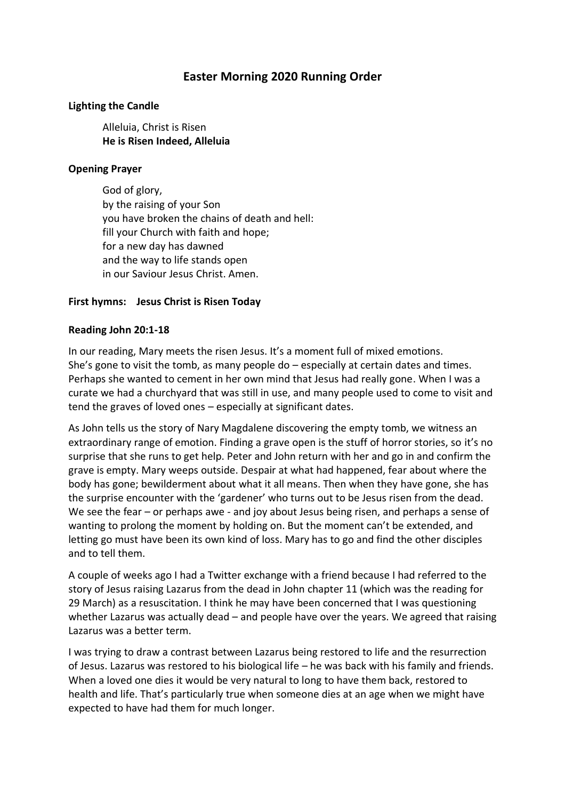# **Easter Morning 2020 Running Order**

#### **Lighting the Candle**

Alleluia, Christ is Risen **He is Risen Indeed, Alleluia**

#### **Opening Prayer**

God of glory, by the raising of your Son you have broken the chains of death and hell: fill your Church with faith and hope; for a new day has dawned and the way to life stands open in our Saviour Jesus Christ. Amen.

### **First hymns: Jesus Christ is Risen Today**

#### **Reading John 20:1-18**

In our reading, Mary meets the risen Jesus. It's a moment full of mixed emotions. She's gone to visit the tomb, as many people do – especially at certain dates and times. Perhaps she wanted to cement in her own mind that Jesus had really gone. When I was a curate we had a churchyard that was still in use, and many people used to come to visit and tend the graves of loved ones – especially at significant dates.

As John tells us the story of Nary Magdalene discovering the empty tomb, we witness an extraordinary range of emotion. Finding a grave open is the stuff of horror stories, so it's no surprise that she runs to get help. Peter and John return with her and go in and confirm the grave is empty. Mary weeps outside. Despair at what had happened, fear about where the body has gone; bewilderment about what it all means. Then when they have gone, she has the surprise encounter with the 'gardener' who turns out to be Jesus risen from the dead. We see the fear – or perhaps awe - and joy about Jesus being risen, and perhaps a sense of wanting to prolong the moment by holding on. But the moment can't be extended, and letting go must have been its own kind of loss. Mary has to go and find the other disciples and to tell them.

A couple of weeks ago I had a Twitter exchange with a friend because I had referred to the story of Jesus raising Lazarus from the dead in John chapter 11 (which was the reading for 29 March) as a resuscitation. I think he may have been concerned that I was questioning whether Lazarus was actually dead – and people have over the years. We agreed that raising Lazarus was a better term.

I was trying to draw a contrast between Lazarus being restored to life and the resurrection of Jesus. Lazarus was restored to his biological life – he was back with his family and friends. When a loved one dies it would be very natural to long to have them back, restored to health and life. That's particularly true when someone dies at an age when we might have expected to have had them for much longer.